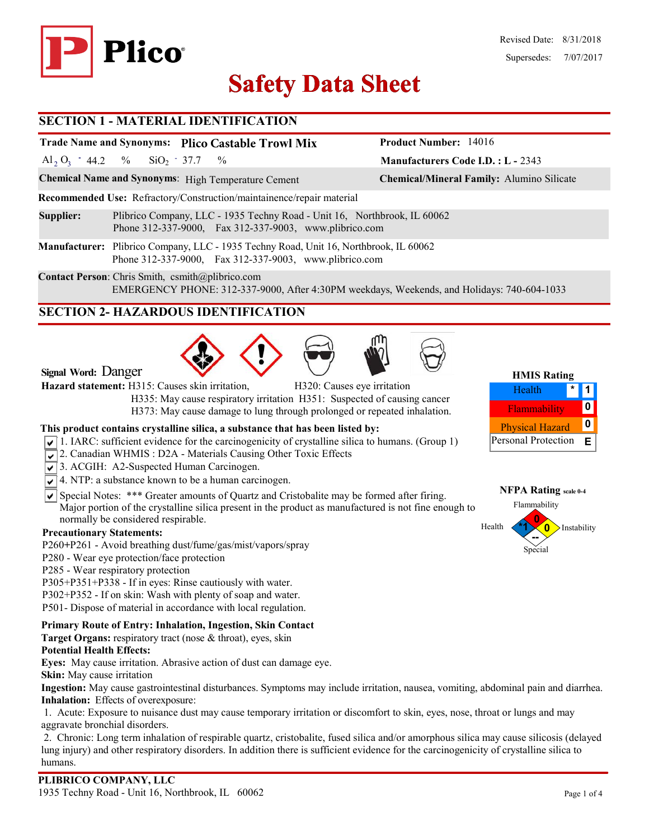

# **Safety Data Sheet Safety Data**

### **SECTION 1 - MATERIAL IDENTIFICATION**

# **Trade Name and Synonyms: Plico Castable Trowl Mix**

Al<sub>2</sub> O<sub>3</sub> - 44.2 %  $SiO_2$  - 37.7 %  $SiO_2$  - 37.7

**Chemical Name and Synonyms**: High Temperature Cement **Chemical/Mineral Family:** Alumino Silicate

**Recommended Use:** Refractory/Construction/maintainence/repair material

**Supplier:** Plibrico Company, LLC - 1935 Techny Road - Unit 16, Northbrook, IL 60062 Phone 312-337-9000, Fax 312-337-9003, www.plibrico.com

**Manufacturer:** Plibrico Company, LLC - 1935 Techny Road, Unit 16, Northbrook, IL 60062 Phone 312-337-9000, Fax 312-337-9003, www.plibrico.com

**Contact Person**: Chris Smith, csmith@plibrico.com EMERGENCY PHONE: 312-337-9000, After 4:30PM weekdays, Weekends, and Holidays: 740-604-1033

# **SECTION 2- HAZARDOUS IDENTIFICATION**





**Signal Word:** Danger

**Hazard statement:** H315: Causes skin irritation, H320: Causes eye irritation

H335: May cause respiratory irritation H351: Suspected of causing cancer

H373: May cause damage to lung through prolonged or repeated inhalation.

#### **This product contains crystalline silica, a substance that has been listed by:**

- $\sqrt{1}$  1. IARC: sufficient evidence for the carcinogenicity of crystalline silica to humans. (Group 1)
- 2. Canadian WHMIS: D2A Materials Causing Other Toxic Effects
- 3. ACGIH: A2-Suspected Human Carcinogen.
- $\sqrt{\sqrt{4}}$ . NTP: a substance known to be a human carcinogen.
- $\overline{\mathsf{S}}$  Special Notes: \*\*\* Greater amounts of Quartz and Cristobalite may be formed after firing. Major portion of the crystalline silica present in the product as manufactured is not fine enough to normally be considered respirable.

#### **Precautionary Statements:**

- P260**+**P261 Avoid breathing dust/fume/gas/mist/vapors/spray
- P280 Wear eye protection/face protection
- P285 Wear respiratory protection
- P305+P351+P338 If in eyes: Rinse cautiously with water.
- P302+P352 If on skin: Wash with plenty of soap and water.
- P501- Dispose of material in accordance with local regulation.

#### **Primary Route of Entry: Inhalation, Ingestion, Skin Contact**

**Target Organs:** respiratory tract (nose & throat), eyes, skin

#### **Potential Health Effects:**

**Eyes:** May cause irritation. Abrasive action of dust can damage eye.

**Skin:** May cause irritation

**Ingestion:** May cause gastrointestinal disturbances. Symptoms may include irritation, nausea, vomiting, abdominal pain and diarrhea. **Inhalation:** Effects of overexposure:

1. Acute: Exposure to nuisance dust may cause temporary irritation or discomfort to skin, eyes, nose, throat or lungs and may aggravate bronchial disorders.

2. Chronic: Long term inhalation of respirable quartz, cristobalite, fused silica and/or amorphous silica may cause silicosis (delayed lung injury) and other respiratory disorders. In addition there is sufficient evidence for the carcinogenicity of crystalline silica to humans.



**Manufacturers Code I.D. : L -** 2343

**Product Number:** 14016



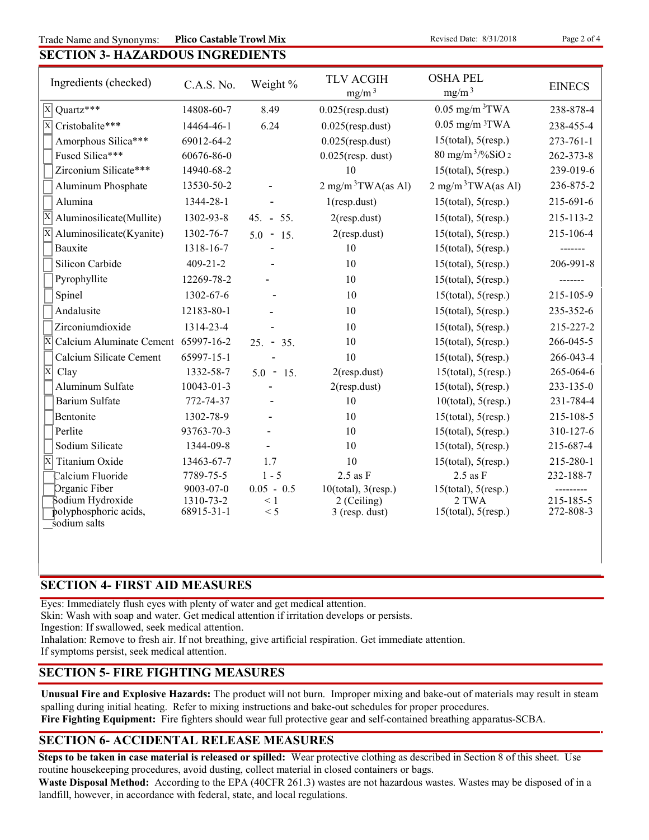Trade Name and Synonyms: Plico Castable Trowl Mix Revised Date: 8/31/2018 Page 2 of 4 **Plico Castable Trowl Mix** 

# **SECTION 3- HAZARDOUS INGREDIENTS**

| Ingredients (checked)                                          | C.A.S. No.              | Weight %        | <b>TLV ACGIH</b><br>mg/m <sup>3</sup> | <b>OSHA PEL</b><br>mg/m <sup>3</sup> | <b>EINECS</b>          |
|----------------------------------------------------------------|-------------------------|-----------------|---------------------------------------|--------------------------------------|------------------------|
| $\overline{X}$ Quartz***                                       | 14808-60-7              | 8.49            | $0.025$ (resp.dust)                   | $0.05$ mg/m $3$ TWA                  | 238-878-4              |
| $\overline{\mathrm{X}}$<br>Cristobalite***                     | 14464-46-1              | 6.24            | $0.025$ (resp.dust)                   | $0.05$ mg/m $3$ TWA                  | 238-455-4              |
| Amorphous Silica***                                            | 69012-64-2              |                 | $0.025$ (resp.dust)                   | $15$ (total), $5$ (resp.)            | $273 - 761 - 1$        |
| Fused Silica***                                                | 60676-86-0              |                 | $0.025$ (resp. dust)                  | $80 \text{ mg/m}^3$ /%SiO 2          | 262-373-8              |
| Zirconium Silicate***                                          | 14940-68-2              |                 | 10                                    | $15$ (total), $5$ (resp.)            | 239-019-6              |
| Aluminum Phosphate                                             | 13530-50-2              |                 | $2 \text{ mg/m}^3$ TWA(as Al)         | $2 \text{ mg/m}^3$ TWA(as Al)        | 236-875-2              |
| Alumina                                                        | 1344-28-1               |                 | $1$ (resp.dust)                       | $15$ (total), $5$ (resp.)            | 215-691-6              |
| Aluminosilicate(Mullite)                                       | 1302-93-8               | $45. - 55.$     | $2$ (resp.dust)                       | $15$ (total), $5$ (resp.)            | 215-113-2              |
| Aluminosilicate(Kyanite)                                       | 1302-76-7               | $5.0 - 15.$     | $2$ (resp.dust)                       | $15$ (total), $5$ (resp.)            | 215-106-4              |
| Bauxite                                                        | 1318-16-7               |                 | 10                                    | $15$ (total), $5$ (resp.)            | -------                |
| Silicon Carbide                                                | $409 - 21 - 2$          |                 | 10                                    | $15$ (total), $5$ (resp.)            | 206-991-8              |
| Pyrophyllite                                                   | 12269-78-2              |                 | 10                                    | $15$ (total), $5$ (resp.)            |                        |
| Spinel                                                         | 1302-67-6               |                 | 10                                    | $15$ (total), $5$ (resp.)            | 215-105-9              |
| Andalusite                                                     | 12183-80-1              |                 | 10                                    | $15$ (total), $5$ (resp.)            | 235-352-6              |
| Zirconiumdioxide                                               | 1314-23-4               |                 | 10                                    | $15$ (total), $5$ (resp.)            | 215-227-2              |
| Calcium Aluminate Cement 65997-16-2<br>$\overline{\mathbf{x}}$ |                         | $25. - 35.$     | 10                                    | $15$ (total), $5$ (resp.)            | 266-045-5              |
| Calcium Silicate Cement                                        | 65997-15-1              |                 | 10                                    | $15$ (total), $5$ (resp.)            | 266-043-4              |
| X<br>Clay                                                      | 1332-58-7               | $5.0 - 15.$     | $2$ (resp.dust)                       | $15$ (total), $5$ (resp.)            | 265-064-6              |
| Aluminum Sulfate                                               | $10043 - 01 - 3$        |                 | $2$ (resp.dust)                       | $15$ (total), $5$ (resp.)            | $233 - 135 - 0$        |
| <b>Barium Sulfate</b>                                          | 772-74-37               |                 | 10                                    | $10$ (total), $5$ (resp.)            | 231-784-4              |
| Bentonite                                                      | 1302-78-9               |                 | 10                                    | $15$ (total), $5$ (resp.)            | 215-108-5              |
| Perlite                                                        | 93763-70-3              |                 | 10                                    | $15$ (total), $5$ (resp.)            | 310-127-6              |
| Sodium Silicate                                                | 1344-09-8               |                 | 10                                    | $15$ (total), $5$ (resp.)            | 215-687-4              |
| Ιx<br>Titanium Oxide                                           | 13463-67-7              | 1.7             | 10                                    | $15$ (total), $5$ (resp.)            | 215-280-1              |
| Calcium Fluoride                                               | 7789-75-5               | $1 - 5$         | $2.5$ as $F$                          | $2.5$ as $F$                         | 232-188-7              |
| Organic Fiber                                                  | 9003-07-0               | $0.05 - 0.5$    | $10$ (total), $3$ (resp.)             | $15$ (total), $5$ (resp.)            |                        |
| Sodium Hydroxide<br>polyphosphoric acids,                      | 1310-73-2<br>68915-31-1 | $\leq 1$<br>< 5 | 2 (Ceiling)<br>3 (resp. dust)         | 2 TWA<br>$15$ (total), $5$ (resp.)   | 215-185-5<br>272-808-3 |
| sodium salts                                                   |                         |                 |                                       |                                      |                        |

# **SECTION 4- FIRST AID MEASURES**

Eyes: Immediately flush eyes with plenty of water and get medical attention.

Skin: Wash with soap and water. Get medical attention if irritation develops or persists.

Ingestion: If swallowed, seek medical attention.

Inhalation: Remove to fresh air. If not breathing, give artificial respiration. Get immediate attention.

If symptoms persist, seek medical attention.

# **SECTION 5- FIRE FIGHTING MEASURES**

**Unusual Fire and Explosive Hazards:** The product will not burn. Improper mixing and bake-out of materials may result in steam spalling during initial heating. Refer to mixing instructions and bake-out schedules for proper procedures.

**Fire Fighting Equipment:** Fire fighters should wear full protective gear and self-contained breathing apparatus-SCBA.

# **SECTION 6- ACCIDENTAL RELEASE MEASURES**

**Steps to be taken in case material is released or spilled:** Wear protective clothing as described in Section 8 of this sheet. Use routine housekeeping procedures, avoid dusting, collect material in closed containers or bags.

**Waste Disposal Method:** According to the EPA (40CFR 261.3) wastes are not hazardous wastes. Wastes may be disposed of in a landfill, however, in accordance with federal, state, and local regulations.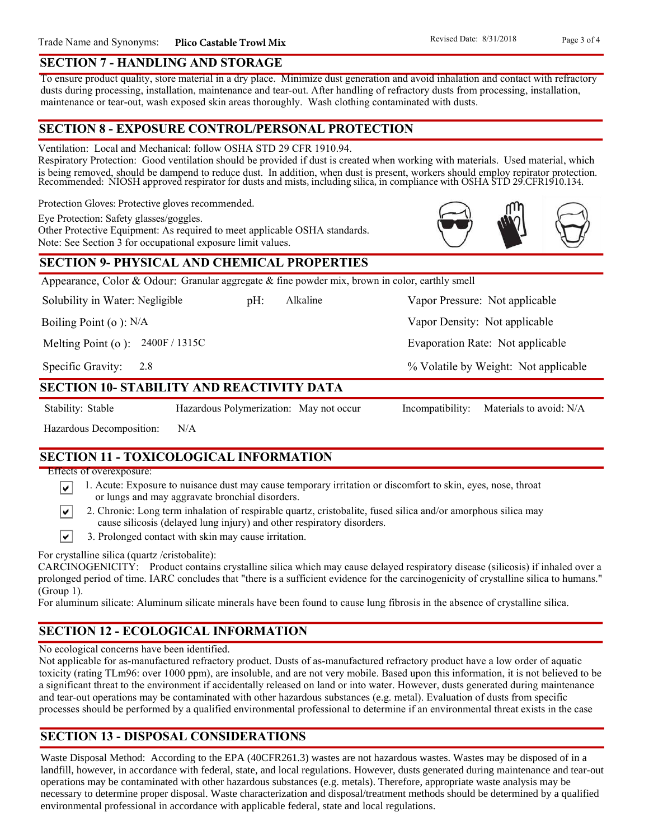#### **SECTION 7 - HANDLING AND STORAGE**

To ensure product quality, store material in a dry place. Minimize dust generation and avoid inhalation and contact with refractory dusts during processing, installation, maintenance and tear-out. After handling of refractory dusts from processing, installation, maintenance or tear-out, wash exposed skin areas thoroughly. Wash clothing contaminated with dusts.

### **SECTION 8 - EXPOSURE CONTROL/PERSONAL PROTECTION**

Ventilation: Local and Mechanical: follow OSHA STD 29 CFR 1910.94.

Respiratory Protection: Good ventilation should be provided if dust is created when working with materials. Used material, which is being removed, should be dampend to reduce dust. In addition, when dust is present, workers should employ repirator protection. Recommended: NIOSH approved respirator for dusts and mists, including silica, in compliance with OSHA STD 29.CFR1910.134.

Alkaline

Protection Gloves: Protective gloves recommended.

Eye Protection: Safety glasses/goggles.

Other Protective Equipment: As required to meet applicable OSHA standards. Note: See Section 3 for occupational exposure limit values.

# **SECTION 9- PHYSICAL AND CHEMICAL PROPERTIES**

Appearance, Color & Odour: Granular aggregate & fine powder mix, brown in color, earthly smell

Solubility in Water: Negligible

Boiling Point (o ): N/A

Melting Point (o ): 2400F / 1315C

2.8 Specific Gravity:

# **SECTION 10- STABILITY AND REACTIVITY DATA**

∣V∣

∣V∣

Stability: Stable Hazardous Polymerization: May not occur Incompatibility: Materials to avoid: N/A

Hazardous Decomposition: N/A

**SECTION 11 - TOXICOLOGICAL INFORMATION**

Effects of overexposure:

- 1. Acute: Exposure to nuisance dust may cause temporary irritation or discomfort to skin, eyes, nose, throat or lungs and may aggravate bronchial disorders.
- 2. Chronic: Long term inhalation of respirable quartz, cristobalite, fused silica and/or amorphous silica may cause silicosis (delayed lung injury) and other respiratory disorders.
- $\vert\mathbf{v}\vert$ 3. Prolonged contact with skin may cause irritation.

For crystalline silica (quartz /cristobalite):

CARCINOGENICITY: Product contains crystalline silica which may cause delayed respiratory disease (silicosis) if inhaled over a prolonged period of time. IARC concludes that "there is a sufficient evidence for the carcinogenicity of crystalline silica to humans." (Group 1).

For aluminum silicate: Aluminum silicate minerals have been found to cause lung fibrosis in the absence of crystalline silica.

# **SECTION 12 - ECOLOGICAL INFORMATION**

No ecological concerns have been identified.

Not applicable for as-manufactured refractory product. Dusts of as-manufactured refractory product have a low order of aquatic toxicity (rating TLm96: over 1000 ppm), are insoluble, and are not very mobile. Based upon this information, it is not believed to be a significant threat to the environment if accidentally released on land or into water. However, dusts generated during maintenance and tear-out operations may be contaminated with other hazardous substances (e.g. metal). Evaluation of dusts from specific processes should be performed by a qualified environmental professional to determine if an environmental threat exists in the case

# **SECTION 13 - DISPOSAL CONSIDERATIONS**

Waste Disposal Method: According to the EPA (40CFR261.3) wastes are not hazardous wastes. Wastes may be disposed of in a landfill, however, in accordance with federal, state, and local regulations. However, dusts generated during maintenance and tear-out operations may be contaminated with other hazardous substances (e.g. metals). Therefore, appropriate waste analysis may be necessary to determine proper disposal. Waste characterization and disposal/treatment methods should be determined by a qualified environmental professional in accordance with applicable federal, state and local regulations.



Vapor Density: Not applicable

Evaporation Rate: Not applicable

% Volatile by Weight: Not applicable

pH: Alkaline Vapor Pressure: Not applicable